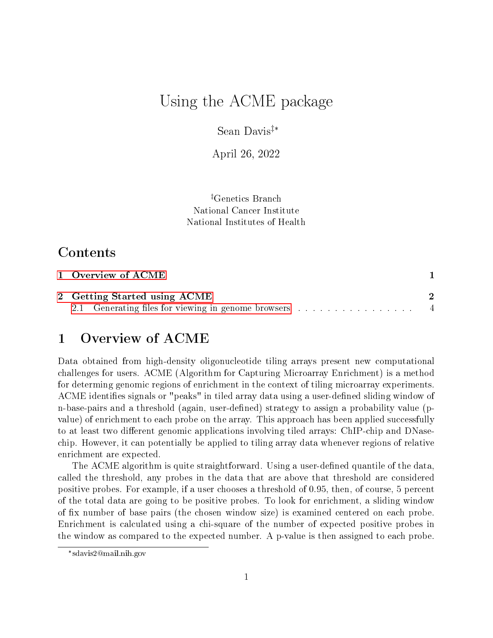# Using the ACME package

Sean Davis‡\*

April 26, 2022

‡Genetics Branch National Cancer Institute National Institutes of Health

# Contents

| 1 Overview of ACME                                    |  |
|-------------------------------------------------------|--|
| 2 Getting Started using ACME                          |  |
| 2.1 Generating files for viewing in genome browsers 4 |  |

# <span id="page-0-0"></span>1 Overview of ACME

Data obtained from high-density oligonucleotide tiling arrays present new computational challenges for users. ACME (Algorithm for Capturing Microarray Enrichment) is a method for determing genomic regions of enrichment in the context of tiling microarray experiments. ACME identifies signals or "peaks" in tiled array data using a user-defined sliding window of n-base-pairs and a threshold (again, user-defined) strategy to assign a probability value (pvalue) of enrichment to each probe on the array. This approach has been applied successfully to at least two different genomic applications involving tiled arrays: ChIP-chip and DNasechip. However, it can potentially be applied to tiling array data whenever regions of relative enrichment are expected.

The ACME algorithm is quite straightforward. Using a user-defined quantile of the data. called the threshold, any probes in the data that are above that threshold are considered positive probes. For example, if a user chooses a threshold of 0.95, then, of course, 5 percent of the total data are going to be positive probes. To look for enrichment, a sliding window of x number of base pairs (the chosen window size) is examined centered on each probe. Enrichment is calculated using a chi-square of the number of expected positive probes in the window as compared to the expected number. A p-value is then assigned to each probe.

<sup>\*</sup> sdavis2@mail.nih.gov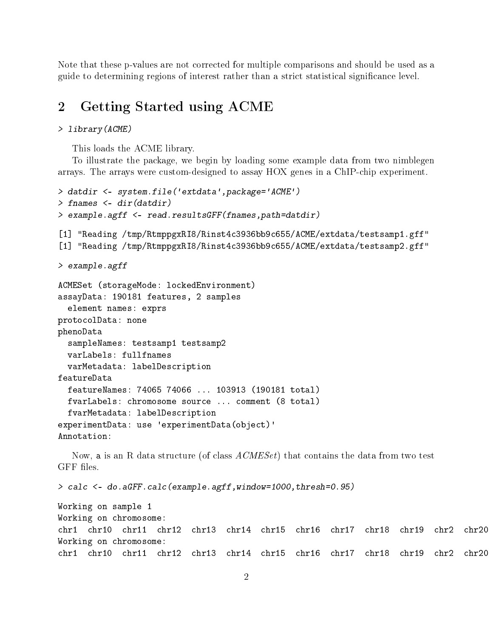Note that these p-values are not corrected for multiple comparisons and should be used as a guide to determining regions of interest rather than a strict statistical signicance level.

### <span id="page-1-0"></span>2 Getting Started using ACME

#### > library(ACME)

This loads the ACME library.

To illustrate the package, we begin by loading some example data from two nimblegen arrays. The arrays were custom-designed to assay HOX genes in a ChIP-chip experiment.

```
> datdir <- system.file('extdata',package='ACME')
> fnames <- dir(datdir)
> example.agff <- read.resultsGFF(fnames,path=datdir)
[1] "Reading /tmp/RtmppgxRI8/Rinst4c3936bb9c655/ACME/extdata/testsamp1.gff"
[1] "Reading /tmp/RtmppgxRI8/Rinst4c3936bb9c655/ACME/extdata/testsamp2.gff"
> example.agff
ACMESet (storageMode: lockedEnvironment)
assayData: 190181 features, 2 samples
  element names: exprs
protocolData: none
phenoData
  sampleNames: testsamp1 testsamp2
  varLabels: fullfnames
  varMetadata: labelDescription
featureData
  featureNames: 74065 74066 ... 103913 (190181 total)
  fvarLabels: chromosome source ... comment (8 total)
  fvarMetadata: labelDescription
experimentData: use 'experimentData(object)'
Annotation:
```
Now, a is an R data structure (of class  $ACMESet$ ) that contains the data from two test GFF files.

> calc <- do.aGFF.calc(example.agff,window=1000,thresh=0.95)

```
Working on sample 1
Working on chromosome:
chr1 chr10 chr11 chr12 chr13 chr14 chr15 chr16 chr17 chr18 chr19 chr2 chr20
Working on chromosome:
chr1 chr10 chr11 chr12 chr13 chr14 chr15 chr16 chr17 chr18 chr19 chr2 chr20
```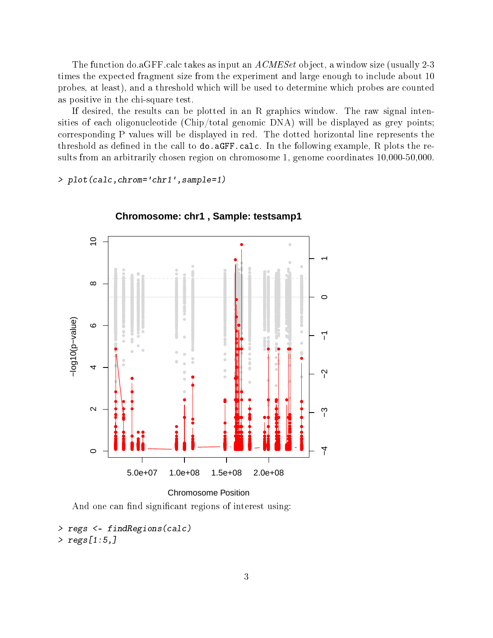The function do.aGFF.calc takes as input an ACMESet object, a window size (usually 2-3 times the expected fragment size from the experiment and large enough to include about 10 probes, at least), and a threshold which will be used to determine which probes are counted as positive in the chi-square test.

If desired, the results can be plotted in an R graphics window. The raw signal intensities of each oligonucleotide (Chip/total genomic DNA) will be displayed as grey points; corresponding P values will be displayed in red. The dotted horizontal line represents the threshold as defined in the call to  $do$ .  $aGFF$ .calc. In the following example, R plots the results from an arbitrarily chosen region on chromosome 1, genome coordinates 10,000-50,000.

> plot(calc,chrom='chr1',sample=1)



**Chromosome: chr1 , Sample: testsamp1**

```
Chromosome Position
```
And one can find significant regions of interest using:

```
> regs <- findRegions(calc)
> regs[1:5,]
```